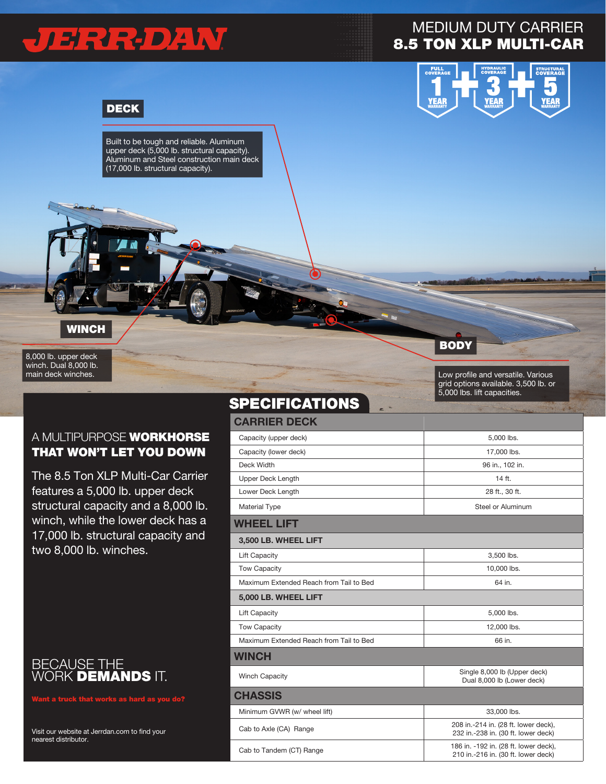# JERREDAW

## MEDIUM DUTY CARRIER 8.5 TON XLP MULTI-CAR



### DECK

Built to be tough and reliable. Aluminum upper deck (5,000 lb. structural capacity). Aluminum and Steel construction main deck (17,000 lb. structural capacity).

#### **WINCH**

8,000 lb. upper deck winch. Dual 8,000 lb. main deck winches.

#### A MULTIPURPOSE WORKHORSE THAT WON'T LET YOU DOWN

The 8.5 Ton XLP Multi-Car Carrier features a 5,000 lb. upper deck structural capacity and a 8,000 lb. winch, while the lower deck has a 17,000 lb. structural capacity and two 8,000 lb. winches.



Want a truck that works as hard as you do?

Visit our website at Jerrdan.com to find your nearest distributor.

| JI LVII IVAI IVIIV<br>$\equiv$<br>z     |                                                                              |
|-----------------------------------------|------------------------------------------------------------------------------|
| <b>CARRIER DECK</b>                     |                                                                              |
| Capacity (upper deck)                   | 5,000 lbs.                                                                   |
| Capacity (lower deck)                   | 17,000 lbs.                                                                  |
| Deck Width                              | 96 in., 102 in.                                                              |
| <b>Upper Deck Length</b>                | 14 ft.                                                                       |
| Lower Deck Length                       | 28 ft., 30 ft.                                                               |
| Material Type                           | Steel or Aluminum                                                            |
| <b>WHEEL LIFT</b>                       |                                                                              |
| 3,500 LB. WHEEL LIFT                    |                                                                              |
| <b>Lift Capacity</b>                    | 3,500 lbs.                                                                   |
| <b>Tow Capacity</b>                     | 10,000 lbs.                                                                  |
| Maximum Extended Reach from Tail to Bed | 64 in.                                                                       |
| 5,000 LB. WHEEL LIFT                    |                                                                              |
| <b>Lift Capacity</b>                    | 5,000 lbs.                                                                   |
| Tow Capacity                            | 12,000 lbs.                                                                  |
| Maximum Extended Reach from Tail to Bed | 66 in.                                                                       |
| WINCH                                   |                                                                              |
| <b>Winch Capacity</b>                   | Single 8,000 lb (Upper deck)<br>Dual 8,000 lb (Lower deck)                   |
| <b>CHASSIS</b>                          |                                                                              |
| Minimum GVWR (w/ wheel lift)            | 33,000 lbs.                                                                  |
| Cab to Axle (CA) Range                  | 208 in.-214 in. (28 ft. lower deck),<br>232 in.-238 in. (30 ft. lower deck)  |
| Cab to Tandem (CT) Range                | 186 in. -192 in. (28 ft. lower deck),<br>210 in.-216 in. (30 ft. lower deck) |

**SDECIFICATIONS** 

#### **BODY**

Low profile and versatile. Various grid options available. 3,500 lb. or 5,000 lbs. lift capacities.